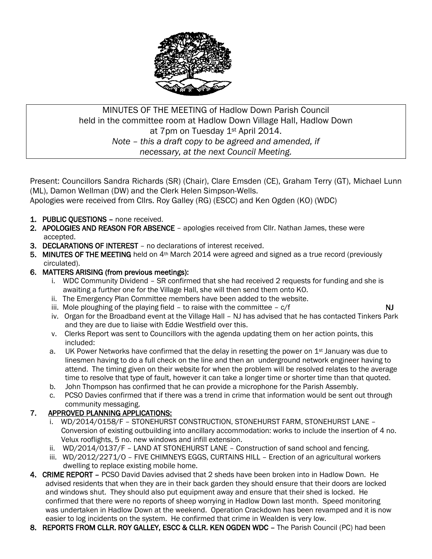

# MINUTES OF THE MEETING of Hadlow Down Parish Council held in the committee room at Hadlow Down Village Hall, Hadlow Down at 7pm on Tuesday 1<sup>st</sup> April 2014. *Note – this a draft copy to be agreed and amended, if necessary, at the next Council Meeting.*

Present: Councillors Sandra Richards (SR) (Chair), Clare Emsden (CE), Graham Terry (GT), Michael Lunn (ML), Damon Wellman (DW) and the Clerk Helen Simpson-Wells.

Apologies were received from Cllrs. Roy Galley (RG) (ESCC) and Ken Ogden (KO) (WDC)

- 1. PUBLIC QUESTIONS none received.
- 2. APOLOGIES AND REASON FOR ABSENCE apologies received from Cllr. Nathan James, these were accepted.
- 3. DECLARATIONS OF INTEREST no declarations of interest received.
- 5. MINUTES OF THE MEETING held on 4<sup>th</sup> March 2014 were agreed and signed as a true record (previously circulated).

# 6. MATTERS ARISING (from previous meetings):

- i. WDC Community Dividend SR confirmed that she had received 2 requests for funding and she is awaiting a further one for the Village Hall, she will then send them onto KO.
- ii. The Emergency Plan Committee members have been added to the website.
- iii. Mole ploughing of the playing field to raise with the committee  $c/f$  NJ
- iv. Organ for the Broadband event at the Village Hall NJ has advised that he has contacted Tinkers Park and they are due to liaise with Eddie Westfield over this.
- v. Clerks Report was sent to Councillors with the agenda updating them on her action points, this included:
- a. UK Power Networks have confirmed that the delay in resetting the power on  $1<sup>st</sup>$  January was due to linesmen having to do a full check on the line and then an underground network engineer having to attend. The timing given on their website for when the problem will be resolved relates to the average time to resolve that type of fault, however it can take a longer time or shorter time than that quoted.
- b. John Thompson has confirmed that he can provide a microphone for the Parish Assembly.
- c. PCSO Davies confirmed that if there was a trend in crime that information would be sent out through community messaging.

# 7. APPROVED PLANNING APPLICATIONS:

- i. WD/2014/0158/F STONEHURST CONSTRUCTION, STONEHURST FARM, STONEHURST LANE Conversion of existing outbuilding into ancillary accommodation: works to include the insertion of 4 no. Velux rooflights, 5 no. new windows and infill extension.
- ii. WD/2014/0137/F LAND AT STONEHURST LANE Construction of sand school and fencing.
- iii. WD/2012/2271/O FIVE CHIMNEYS EGGS, CURTAINS HILL Erection of an agricultural workers dwelling to replace existing mobile home.
- 4. CRIME REPORT PCSO David Davies advised that 2 sheds have been broken into in Hadlow Down. He advised residents that when they are in their back garden they should ensure that their doors are locked and windows shut. They should also put equipment away and ensure that their shed is locked. He confirmed that there were no reports of sheep worrying in Hadlow Down last month. Speed monitoring was undertaken in Hadlow Down at the weekend. Operation Crackdown has been revamped and it is now easier to log incidents on the system. He confirmed that crime in Wealden is very low.
- 8. REPORTS FROM CLLR. ROY GALLEY, ESCC & CLLR. KEN OGDEN WDC The Parish Council (PC) had been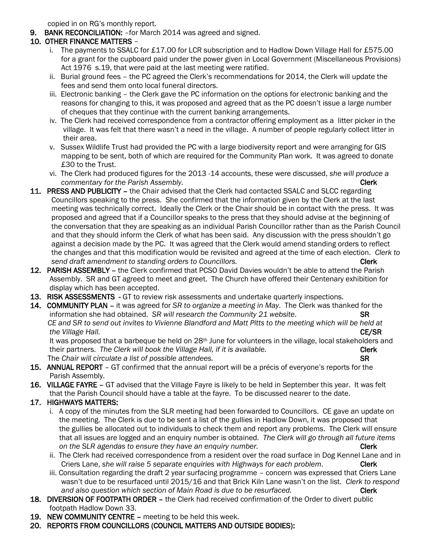copied in on RG's monthly report.

9. BANK RECONCILIATION: –for March 2014 was agreed and signed.

# 10. OTHER FINANCE MATTERS –

- i. The payments to SSALC for £17.00 for LCR subscription and to Hadlow Down Village Hall for £575.00 for a grant for the cupboard paid under the power given in Local Government (Miscellaneous Provisions) Act 1976 s.19, that were paid at the last meeting were ratified.
- ii. Burial ground fees the PC agreed the Clerk's recommendations for 2014, the Clerk will update the fees and send them onto local funeral directors.
- iii. Electronic banking the Clerk gave the PC information on the options for electronic banking and the reasons for changing to this, it was proposed and agreed that as the PC doesn't issue a large number of cheques that they continue with the current banking arrangements.
- iv. The Clerk had received correspondence from a contractor offering employment as a litter picker in the village. It was felt that there wasn't a need in the village. A number of people regularly collect litter in their area.
- v. Sussex Wildlife Trust had provided the PC with a large biodiversity report and were arranging for GIS mapping to be sent, both of which are required for the Community Plan work. It was agreed to donate £30 to the Trust.
- vi. The Clerk had produced figures for the 2013 -14 accounts, these were discussed, *she will produce a commentary for the Parish Assembly.* Clerk 2008 **Clerk** 2008 **Clerk**
- 11. PRESS AND PUBLICITY the Chair advised that the Clerk had contacted SSALC and SLCC regarding Councillors speaking to the press. She confirmed that the information given by the Clerk at the last meeting was technically correct. Ideally the Clerk or the Chair should be in contact with the press. It was proposed and agreed that if a Councillor speaks to the press that they should advise at the beginning of the conversation that they are speaking as an individual Parish Councillor rather than as the Parish Council and that they should inform the Clerk of what has been said. Any discussion with the press shouldn't go against a decision made by the PC. It was agreed that the Clerk would amend standing orders to reflect the changes and that this modification would be revisited and agreed at the time of each election. *Clerk to Send draft amendment to standing orders to Councillors.* **Comparently and the control of the Clerk Clerk Clerk Clerk and the control of the clerk Clerk Clerk control of the clerk clerk clerk clerk clerk clerk clerk clerk**
- 12. PARISH ASSEMBLY the Clerk confirmed that PCSO David Davies wouldn't be able to attend the Parish Assembly. SR and GT agreed to meet and greet. The Church have offered their Centenary exhibition for display which has been accepted.
- 13. RISK ASSESSMENTS GT to review risk assessments and undertake quarterly inspections.
- 14. COMMUNITY PLAN it was agreed for *SR to organize a meeting in May*. The Clerk was thanked for the information she had obtained. *SR will research the Community 21 website*. SR *CE and SR to send out invites to Vivienne Blandford and Matt Pitts to the meeting which will be held at the Village Hall.* CE/SR

It was proposed that a barbeque be held on 28<sup>th</sup> June for volunteers in the village, local stakeholders and their partners. The Clerk will book the Village Hall, if it is available. **Clerk** Clerk The *Chair will circulate a list of possible attendees.* SR

- 15. ANNUAL REPORT GT confirmed that the annual report will be a précis of everyone's reports for the Parish Assembly.
- 16. VILLAGE FAYRE GT advised that the Village Fayre is likely to be held in September this year. It was felt that the Parish Council should have a table at the fayre. To be discussed nearer to the date.

# 17. HIGHWAYS MATTERS:

- i. A copy of the minutes from the SLR meeting had been forwarded to Councillors. CE gave an update on the meeting. The Clerk is due to be sent a list of the gullies in Hadlow Down, it was proposed that the gullies be allocated out to individuals to check them and report any problems. The Clerk will ensure that all issues are logged and an enquiry number is obtained. *The Clerk will go through all future items Clerk on* the SLR agendas to ensure they have an enquiry number.
- ii. The Clerk had received correspondence from a resident over the road surface in Dog Kennel Lane and in Criers Lane, *she will raise 5 separate enquiries with Highways for each problem*. Clerk
- iii. Consultation regarding the draft 2 year surfacing programme concern was expressed that Criers Lane wasn't due to be resurfaced until 2015/16 and that Brick Kiln Lane wasn't on the list. *Clerk to respond and also question which section of Main Road is due to be resurfaced.* Clerk
- 18. DIVERSION OF FOOTPATH ORDER the Clerk had received confirmation of the Order to divert public footpath Hadlow Down 33.
- 19. NEW COMMUNITY CENTRE meeting to be held this week.
- 20. REPORTS FROM COUNCILLORS (COUNCIL MATTERS AND OUTSIDE BODIES):